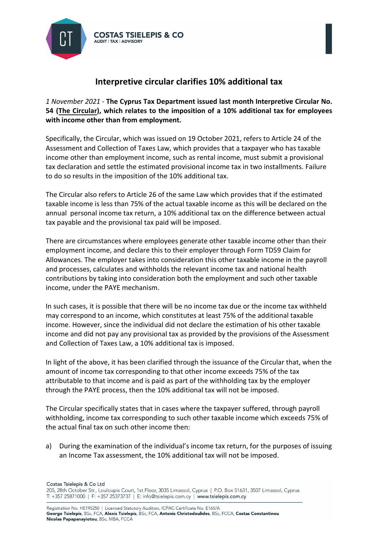

## **Interpretive circular clarifies 10% additional tax**

*1 November 2021* - **The Cyprus Tax Department issued last month Interpretive Circular No. 54 [\(The Circular\)](https://tsielepis.com.cy/wp-content/uploads/2021/10/Circular-54.pdf), which relates to the imposition of a 10% additional tax for employees with income other than from employment.** 

Specifically, the Circular, which was issued on 19 October 2021, refers to Article 24 of the Assessment and Collection of Taxes Law, which provides that a taxpayer who has taxable income other than employment income, such as rental income, must submit a provisional tax declaration and settle the estimated provisional income tax in two installments. Failure to do so results in the imposition of the 10% additional tax.

The Circular also refers to Article 26 of the same Law which provides that if the estimated taxable income is less than 75% of the actual taxable income as this will be declared on the annual personal income tax return, a 10% additional tax on the difference between actual tax payable and the provisional tax paid will be imposed.

There are circumstances where employees generate other taxable income other than their employment income, and declare this to their employer through Form TD59 Claim for Allowances. The employer takes into consideration this other taxable income in the payroll and processes, calculates and withholds the relevant income tax and national health contributions by taking into consideration both the employment and such other taxable income, under the PAYE mechanism.

In such cases, it is possible that there will be no income tax due or the income tax withheld may correspond to an income, which constitutes at least 75% of the additional taxable income. However, since the individual did not declare the estimation of his other taxable income and did not pay any provisional tax as provided by the provisions of the Assessment and Collection of Taxes Law, a 10% additional tax is imposed.

In light of the above, it has been clarified through the issuance of the Circular that, when the amount of income tax corresponding to that other income exceeds 75% of the tax attributable to that income and is paid as part of the withholding tax by the employer through the PAYE process, then the 10% additional tax will not be imposed.

The Circular specifically states that in cases where the taxpayer suffered, through payroll withholding, income tax corresponding to such other taxable income which exceeds 75% of the actual final tax on such other income then:

a) During the examination of the individual's income tax return, for the purposes of issuing an Income Tax assessment, the 10% additional tax will not be imposed.